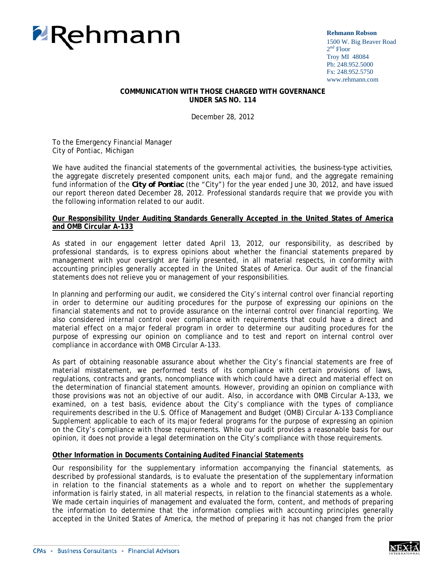

**Rehmann Robson** 1500 W. Big Beaver Road 2<sup>nd</sup> Floor Troy MI 48084 Ph: 248.952.5000 Fx: 248.952.5750 www.rehmann.com

## **COMMUNICATION WITH THOSE CHARGED WITH GOVERNANCE UNDER SAS NO. 114**

December 28, 2012

To the Emergency Financial Manager City of Pontiac, Michigan

We have audited the financial statements of the governmental activities, the business-type activities, the aggregate discretely presented component units, each major fund, and the aggregate remaining fund information of the *City of Pontiac* (the "City") for the year ended June 30, 2012, and have issued our report thereon dated December 28, 2012. Professional standards require that we provide you with the following information related to our audit.

## **Our Responsibility Under Auditing Standards Generally Accepted in the United States of America and OMB Circular A-133**

As stated in our engagement letter dated April 13, 2012, our responsibility, as described by professional standards, is to express opinions about whether the financial statements prepared by management with your oversight are fairly presented, in all material respects, in conformity with accounting principles generally accepted in the United States of America. Our audit of the financial statements does not relieve you or management of your responsibilities.

In planning and performing our audit, we considered the City's internal control over financial reporting in order to determine our auditing procedures for the purpose of expressing our opinions on the financial statements and not to provide assurance on the internal control over financial reporting. We also considered internal control over compliance with requirements that could have a direct and material effect on a major federal program in order to determine our auditing procedures for the purpose of expressing our opinion on compliance and to test and report on internal control over compliance in accordance with OMB Circular A-133.

As part of obtaining reasonable assurance about whether the City's financial statements are free of material misstatement, we performed tests of its compliance with certain provisions of laws, regulations, contracts and grants, noncompliance with which could have a direct and material effect on the determination of financial statement amounts. However, providing an opinion on compliance with those provisions was not an objective of our audit. Also, in accordance with OMB Circular A-133, we examined, on a test basis, evidence about the City's compliance with the types of compliance requirements described in the *U.S. Office of Management and Budget (OMB) Circular A-133 Compliance Supplement* applicable to each of its major federal programs for the purpose of expressing an opinion on the City's compliance with those requirements. While our audit provides a reasonable basis for our opinion, it does not provide a legal determination on the City's compliance with those requirements.

# **Other Information in Documents Containing Audited Financial Statements**

Our responsibility for the supplementary information accompanying the financial statements, as described by professional standards, is to evaluate the presentation of the supplementary information in relation to the financial statements as a whole and to report on whether the supplementary information is fairly stated, in all material respects, in relation to the financial statements as a whole. We made certain inquiries of management and evaluated the form, content, and methods of preparing the information to determine that the information complies with accounting principles generally accepted in the United States of America, the method of preparing it has not changed from the prior

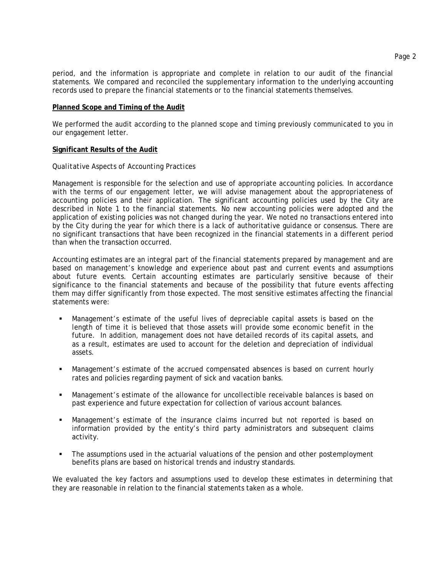period, and the information is appropriate and complete in relation to our audit of the financial statements. We compared and reconciled the supplementary information to the underlying accounting records used to prepare the financial statements or to the financial statements themselves.

#### **Planned Scope and Timing of the Audit**

We performed the audit according to the planned scope and timing previously communicated to you in our engagement letter.

#### **Significant Results of the Audit**

#### *Qualitative Aspects of Accounting Practices*

Management is responsible for the selection and use of appropriate accounting policies. In accordance with the terms of our engagement letter, we will advise management about the appropriateness of accounting policies and their application. The significant accounting policies used by the City are described in Note 1 to the financial statements. No new accounting policies were adopted and the application of existing policies was not changed during the year. We noted no transactions entered into by the City during the year for which there is a lack of authoritative guidance or consensus. There are no significant transactions that have been recognized in the financial statements in a different period than when the transaction occurred.

Accounting estimates are an integral part of the financial statements prepared by management and are based on management's knowledge and experience about past and current events and assumptions about future events. Certain accounting estimates are particularly sensitive because of their significance to the financial statements and because of the possibility that future events affecting them may differ significantly from those expected. The most sensitive estimates affecting the financial statements were:

- Management's estimate of the useful lives of depreciable capital assets is based on the length of time it is believed that those assets will provide some economic benefit in the future. In addition, management does not have detailed records of its capital assets, and as a result, estimates are used to account for the deletion and depreciation of individual assets.
- Management's estimate of the accrued compensated absences is based on current hourly rates and policies regarding payment of sick and vacation banks.
- Management's estimate of the allowance for uncollectible receivable balances is based on past experience and future expectation for collection of various account balances.
- Management's estimate of the insurance claims incurred but not reported is based on information provided by the entity's third party administrators and subsequent claims activity.
- The assumptions used in the actuarial valuations of the pension and other postemployment benefits plans are based on historical trends and industry standards.

We evaluated the key factors and assumptions used to develop these estimates in determining that they are reasonable in relation to the financial statements taken as a whole.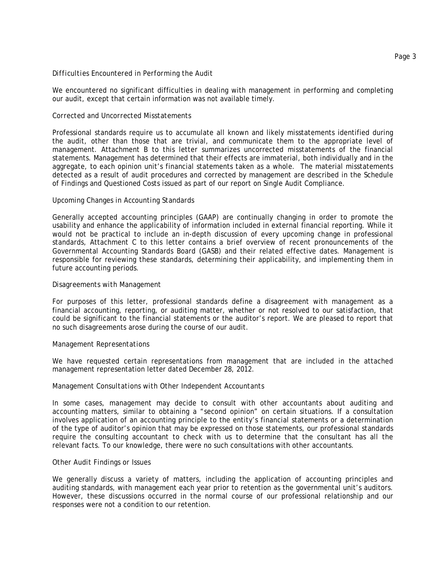## *Difficulties Encountered in Performing the Audit*

We encountered no significant difficulties in dealing with management in performing and completing our audit, except that certain information was not available timely.

# *Corrected and Uncorrected Misstatements*

Professional standards require us to accumulate all known and likely misstatements identified during the audit, other than those that are trivial, and communicate them to the appropriate level of management. Attachment B to this letter summarizes uncorrected misstatements of the financial statements. Management has determined that their effects are immaterial, both individually and in the aggregate, to each opinion unit's financial statements taken as a whole. The material misstatements detected as a result of audit procedures and corrected by management are described in the Schedule of Findings and Questioned Costs issued as part of our report on Single Audit Compliance.

# *Upcoming Changes in Accounting Standards*

Generally accepted accounting principles (GAAP) are continually changing in order to promote the usability and enhance the applicability of information included in external financial reporting. While it would not be practical to include an in-depth discussion of every upcoming change in professional standards, Attachment C to this letter contains a brief overview of recent pronouncements of the Governmental Accounting Standards Board (GASB) and their related effective dates. Management is responsible for reviewing these standards, determining their applicability, and implementing them in future accounting periods.

# *Disagreements with Management*

For purposes of this letter, professional standards define a disagreement with management as a financial accounting, reporting, or auditing matter, whether or not resolved to our satisfaction, that could be significant to the financial statements or the auditor's report. We are pleased to report that no such disagreements arose during the course of our audit.

## *Management Representations*

We have requested certain representations from management that are included in the attached management representation letter dated December 28, 2012.

## *Management Consultations with Other Independent Accountants*

In some cases, management may decide to consult with other accountants about auditing and accounting matters, similar to obtaining a "second opinion" on certain situations. If a consultation involves application of an accounting principle to the entity's financial statements or a determination of the type of auditor's opinion that may be expressed on those statements, our professional standards require the consulting accountant to check with us to determine that the consultant has all the relevant facts. To our knowledge, there were no such consultations with other accountants.

## *Other Audit Findings or Issues*

We generally discuss a variety of matters, including the application of accounting principles and auditing standards, with management each year prior to retention as the governmental unit's auditors. However, these discussions occurred in the normal course of our professional relationship and our responses were not a condition to our retention.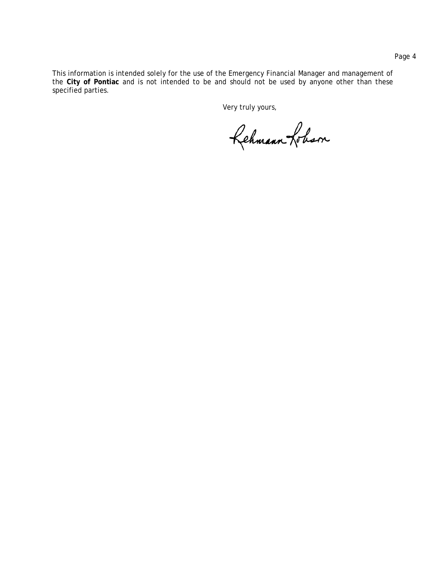This information is intended solely for the use of the Emergency Financial Manager and management of the **City of Pontiac** and is not intended to be and should not be used by anyone other than these specified parties.

Very truly yours,

Rehmann Loham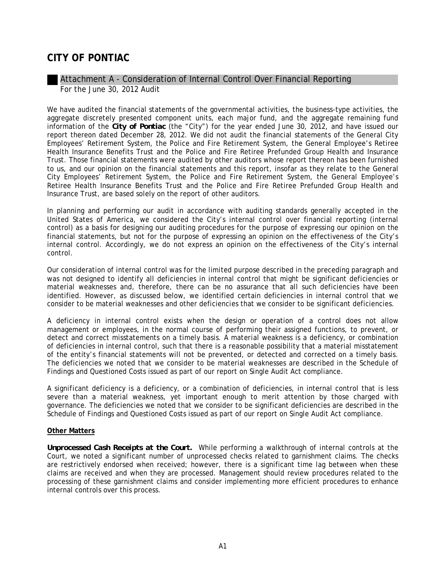# Attachment A - Consideration of Internal Control Over Financial Reporting For the June 30, 2012 Audit

We have audited the financial statements of the governmental activities, the business-type activities, the aggregate discretely presented component units, each major fund, and the aggregate remaining fund information of the *City of Pontiac* (the "City") for the year ended June 30, 2012, and have issued our report thereon dated December 28, 2012. We did not audit the financial statements of the General City Employees' Retirement System, the Police and Fire Retirement System, the General Employee's Retiree Health Insurance Benefits Trust and the Police and Fire Retiree Prefunded Group Health and Insurance Trust. Those financial statements were audited by other auditors whose report thereon has been furnished to us, and our opinion on the financial statements and this report, insofar as they relate to the General City Employees' Retirement System, the Police and Fire Retirement System, the General Employee's Retiree Health Insurance Benefits Trust and the Police and Fire Retiree Prefunded Group Health and Insurance Trust, are based solely on the report of other auditors.

In planning and performing our audit in accordance with auditing standards generally accepted in the United States of America, we considered the City's internal control over financial reporting (internal control) as a basis for designing our auditing procedures for the purpose of expressing our opinion on the financial statements, but not for the purpose of expressing an opinion on the effectiveness of the City's internal control. Accordingly, we do not express an opinion on the effectiveness of the City's internal control.

Our consideration of internal control was for the limited purpose described in the preceding paragraph and was not designed to identify all deficiencies in internal control that might be significant deficiencies or material weaknesses and, therefore, there can be no assurance that all such deficiencies have been identified. However, as discussed below, we identified certain deficiencies in internal control that we consider to be material weaknesses and other deficiencies that we consider to be significant deficiencies.

A deficiency in internal control exists when the design or operation of a control does not allow management or employees, in the normal course of performing their assigned functions, to prevent, or detect and correct misstatements on a timely basis. A *material weakness* is a deficiency, or combination of deficiencies in internal control, such that there is a reasonable possibility that a material misstatement of the entity's financial statements will not be prevented, or detected and corrected on a timely basis. The deficiencies we noted that we consider to be material weaknesses are described in the Schedule of Findings and Questioned Costs issued as part of our report on Single Audit Act compliance.

A *significant deficiency* is a deficiency, or a combination of deficiencies, in internal control that is less severe than a material weakness, yet important enough to merit attention by those charged with governance. The deficiencies we noted that we consider to be significant deficiencies are described in the Schedule of Findings and Questioned Costs issued as part of our report on Single Audit Act compliance.

# **Other Matters**

*Unprocessed Cash Receipts at the Court.* While performing a walkthrough of internal controls at the Court, we noted a significant number of unprocessed checks related to garnishment claims. The checks are restrictively endorsed when received; however, there is a significant time lag between when these claims are received and when they are processed. Management should review procedures related to the processing of these garnishment claims and consider implementing more efficient procedures to enhance internal controls over this process.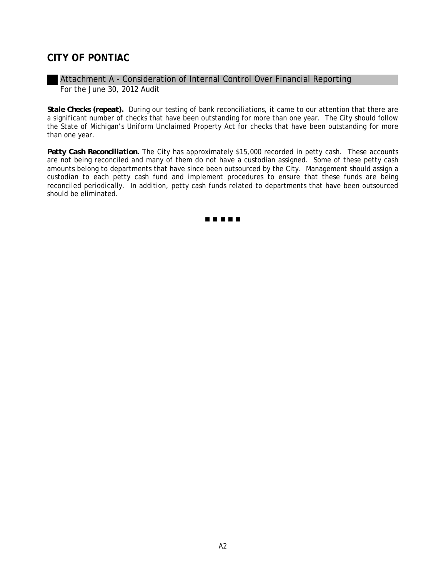# Attachment A - Consideration of Internal Control Over Financial Reporting For the June 30, 2012 Audit

*Stale Checks (repeat).* During our testing of bank reconciliations, it came to our attention that there are a significant number of checks that have been outstanding for more than one year. The City should follow the State of Michigan's Uniform Unclaimed Property Act for checks that have been outstanding for more than one year.

*Petty Cash Reconciliation.* The City has approximately \$15,000 recorded in petty cash. These accounts are not being reconciled and many of them do not have a custodian assigned. Some of these petty cash amounts belong to departments that have since been outsourced by the City. Management should assign a custodian to each petty cash fund and implement procedures to ensure that these funds are being reconciled periodically. In addition, petty cash funds related to departments that have been outsourced should be eliminated.

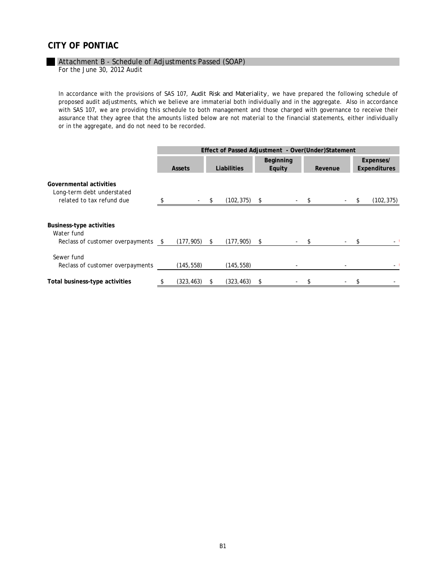#### Attachment B - Schedule of Adjustments Passed (SOAP)

For the June 30, 2012 Audit

In accordance with the provisions of SAS 107, *Audit Risk and Materiality*, we have prepared the following schedule of proposed audit adjustments, which we believe are immaterial both individually and in the aggregate. Also in accordance with SAS 107, we are providing this schedule to both management and those charged with governance to receive their assurance that they agree that the amounts listed below are not material to the financial statements, either individually or in the aggregate, and do not need to be recorded.

|                                                                                    | Effect of Passed Adjustment - Over(Under)Statement |               |        |                 |   |                     |  |         |      |                                  |
|------------------------------------------------------------------------------------|----------------------------------------------------|---------------|--------|-----------------|---|---------------------|--|---------|------|----------------------------------|
|                                                                                    |                                                    | <b>Assets</b> |        | Liabilities     |   | Beginning<br>Equity |  | Revenue |      | Expenses/<br><b>Expenditures</b> |
| Governmental activities<br>Long-term debt understated<br>related to tax refund due |                                                    |               | $-$ \$ | $(102, 375)$ \$ |   |                     |  |         | $-5$ | (102, 375)                       |
| Business-type activities<br>Water fund<br>Reclass of customer overpayments \$      |                                                    | (177, 905)    | \$     | $(177, 905)$ \$ |   |                     |  |         |      |                                  |
| Sewer fund<br>Reclass of customer overpayments                                     |                                                    | (145, 558)    |        | (145, 558)      |   |                     |  |         |      |                                  |
| Total business-type activities                                                     | \$                                                 | (323, 463)    | S      | (323, 463)      | S |                     |  |         |      |                                  |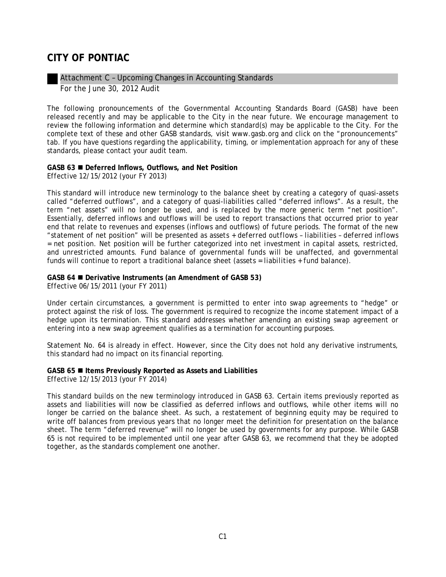# Attachment C – Upcoming Changes in Accounting Standards For the June 30, 2012 Audit

The following pronouncements of the Governmental Accounting Standards Board (GASB) have been released recently and may be applicable to the City in the near future. We encourage management to review the following information and determine which standard(s) may be applicable to the City. For the complete text of these and other GASB standards, visit www.gasb.org and click on the "pronouncements" tab. If you have questions regarding the applicability, timing, or implementation approach for any of these standards, please contact your audit team.

# **GASB 63 Deferred Inflows, Outflows, and Net Position**

*Effective 12/15/2012 (your FY 2013)* 

This standard will introduce new terminology to the balance sheet by creating a category of quasi-assets called "deferred outflows", and a category of quasi-liabilities called "deferred inflows". As a result, the term "net assets" will no longer be used, and is replaced by the more generic term "net position". Essentially, deferred inflows and outflows will be used to report transactions that occurred prior to year end that relate to revenues and expenses (inflows and outflows) of future periods. The format of the new "statement of net position" will be presented as *assets + deferred outflows* – *liabilities – deferred inflows*  = *net position*. Net position will be further categorized into *net investment in capital assets*, *restricted*, and *unrestricted* amounts. Fund balance of governmental funds will be unaffected, and governmental funds will continue to report a traditional balance sheet (*assets = liabilities + fund balance).*

# **GASB 64 Derivative Instruments (an Amendment of GASB 53)**

*Effective 06/15/2011 (your FY 2011)* 

Under certain circumstances, a government is permitted to enter into swap agreements to "hedge" or protect against the risk of loss. The government is required to recognize the income statement impact of a hedge upon its termination. This standard addresses whether amending an existing swap agreement or entering into a new swap agreement qualifies as a termination for accounting purposes.

Statement No. 64 is already in effect. However, since the City does not hold any derivative instruments, this standard had no impact on its financial reporting.

#### **GASB 65 Items Previously Reported as Assets and Liabilities**  *Effective 12/15/2013 (your FY 2014)*

This standard builds on the new terminology introduced in GASB 63. Certain items previously reported as assets and liabilities will now be classified as deferred inflows and outflows, while other items will no longer be carried on the balance sheet. As such, a restatement of beginning equity may be required to write off balances from previous years that no longer meet the definition for presentation on the balance sheet. The term "deferred revenue" will no longer be used by governments for any purpose. While GASB 65 is not required to be implemented until one year after GASB 63, we recommend that they be adopted together, as the standards complement one another.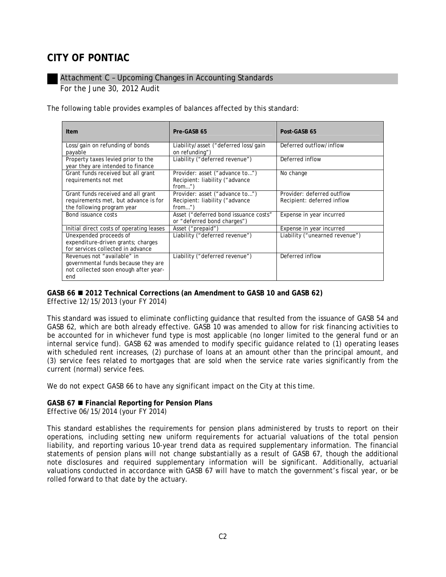# Attachment C – Upcoming Changes in Accounting Standards For the June 30, 2012 Audit

The following table provides examples of balances affected by this standard:

| <b>Item</b>                                                                                                        | Pre-GASB 65                                                                   | Post-GASB 65                                             |
|--------------------------------------------------------------------------------------------------------------------|-------------------------------------------------------------------------------|----------------------------------------------------------|
| Loss/gain on refunding of bonds<br>payable                                                                         | Liability/asset ("deferred loss/gain<br>on refunding")                        | Deferred outflow/inflow                                  |
| Property taxes levied prior to the<br>year they are intended to finance                                            | Liability ("deferred revenue")                                                | Deferred inflow                                          |
| Grant funds received but all grant<br>requirements not met                                                         | Provider: asset ("advance to")<br>Recipient: liability ("advance<br>$from$ "  | No change                                                |
| Grant funds received and all grant<br>requirements met, but advance is for<br>the following program year           | Provider: asset ("advance to")<br>Recipient: liability ("advance"<br>$from$ " | Provider: deferred outflow<br>Recipient: deferred inflow |
| Bond issuance costs                                                                                                | Asset ("deferred bond issuance costs"<br>or "deferred bond charges")          | Expense in year incurred                                 |
| Initial direct costs of operating leases                                                                           | Asset ("prepaid")                                                             | Expense in year incurred                                 |
| Unexpended proceeds of<br>expenditure-driven grants; charges<br>for services collected in advance                  | Liability ("deferred revenue")                                                | Liability ("unearned revenue")                           |
| Revenues not "available" in<br>governmental funds because they are<br>not collected soon enough after year-<br>end | Liability ("deferred revenue")                                                | Deferred inflow                                          |

#### **GASB 66 2012 Technical Corrections (an Amendment to GASB 10 and GASB 62)**  *Effective 12/15/2013 (your FY 2014)*

This standard was issued to eliminate conflicting guidance that resulted from the issuance of GASB 54 and

GASB 62, which are both already effective*.* GASB 10 was amended to allow for risk financing activities to be accounted for in whichever fund type is most applicable (no longer limited to the general fund or an internal service fund). GASB 62 was amended to modify specific guidance related to (1) operating leases with scheduled rent increases, (2) purchase of loans at an amount other than the principal amount, and (3) service fees related to mortgages that are sold when the service rate varies significantly from the current (normal) service fees.

We do not expect GASB 66 to have any significant impact on the City at this time.

# **GASB 67 Financial Reporting for Pension Plans**

*Effective 06/15/2014 (your FY 2014)* 

This standard establishes the requirements for pension plans administered by trusts to report on their operations, including setting new uniform requirements for actuarial valuations of the total pension liability, and reporting various 10-year trend data as required supplementary information. The financial statements of pension plans will not change substantially as a result of GASB 67, though the additional note disclosures and required supplementary information will be significant. Additionally, actuarial valuations conducted in accordance with GASB 67 will have to match the government's fiscal year, or be rolled forward to that date by the actuary.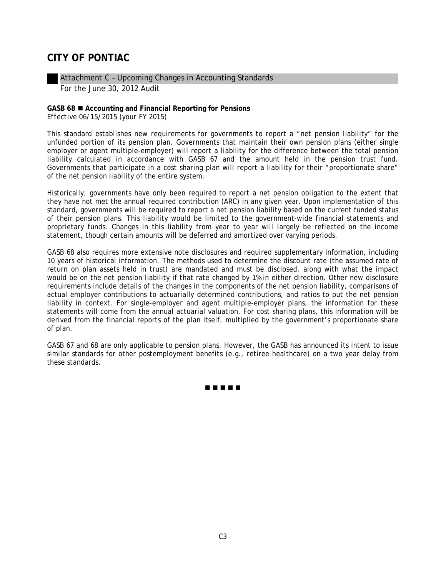Attachment C – Upcoming Changes in Accounting Standards For the June 30, 2012 Audit

## **GASB 68 Accounting and Financial Reporting for Pensions**  *Effective 06/15/2015 (your FY 2015)*

This standard establishes new requirements for governments to report a "net pension liability" for the unfunded portion of its pension plan. Governments that maintain their own pension plans (either single employer or agent multiple-employer) will report a liability for the difference between the total pension liability calculated in accordance with GASB 67 and the amount held in the pension trust fund. Governments that participate in a cost sharing plan will report a liability for their "proportionate share" of the net pension liability of the entire system.

Historically, governments have only been required to report a net pension obligation to the extent that they have not met the annual required contribution (ARC) in any given year. Upon implementation of this standard, governments will be required to report a net pension liability based on the current funded status of their pension plans. This liability would be limited to the government-wide financial statements and proprietary funds. Changes in this liability from year to year will largely be reflected on the income statement, though certain amounts will be deferred and amortized over varying periods.

GASB 68 also requires more extensive note disclosures and required supplementary information, including 10 years of historical information. The methods used to determine the discount rate (the assumed rate of return on plan assets held in trust) are mandated and must be disclosed, along with what the impact would be on the net pension liability if that rate changed by 1% in either direction. Other new disclosure requirements include details of the changes in the components of the net pension liability, comparisons of actual employer contributions to actuarially determined contributions, and ratios to put the net pension liability in context. For single-employer and agent multiple-employer plans, the information for these statements will come from the annual actuarial valuation. For cost sharing plans, this information will be derived from the financial reports of the plan itself, multiplied by the government's proportionate share of plan.

GASB 67 and 68 are only applicable to pension plans. However, the GASB has announced its intent to issue similar standards for other postemployment benefits (e.g., retiree healthcare) on a two year delay from these standards.

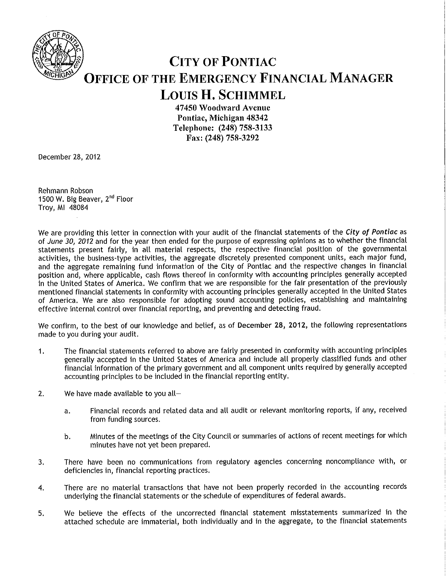

# **CITY OF PONTIAC OFFICE OF THE EMERGENCY FINANCIAL MANAGER LOUIS H. SCHIMMEL**

47450 Woodward Avenue Pontiac. Michigan 48342 Telephone: (248) 758-3133 Fax: (248) 758-3292

December 28, 2012

Rehmann Robson 1500 W. Big Beaver, 2<sup>nd</sup> Floor Troy, MI 48084

We are providing this letter in connection with your audit of the financial statements of the City of Pontiac as of June 30, 2012 and for the year then ended for the purpose of expressing opinions as to whether the financial statements present fairly, in all material respects, the respective financial position of the governmental activities, the business-type activities, the aggregate discretely presented component units, each major fund, and the aggregate remaining fund information of the City of Pontiac and the respective changes in financial position and, where applicable, cash flows thereof in conformity with accounting principles generally accepted in the United States of America. We confirm that we are responsible for the fair presentation of the previously mentioned financial statements in conformity with accounting principles generally accepted in the United States of America. We are also responsible for adopting sound accounting policies, establishing and maintaining effective internal control over financial reporting, and preventing and detecting fraud.

We confirm, to the best of our knowledge and belief, as of December 28, 2012, the following representations made to you during your audit.

- The financial statements referred to above are fairly presented in conformity with accounting principles  $1.$ generally accepted in the United States of America and include all properly classified funds and other financial information of the primary government and all component units required by generally accepted accounting principles to be included in the financial reporting entity.
- $2.$ We have made available to you all-
	- Financial records and related data and all audit or relevant monitoring reports, if any, received a. from funding sources.
	- Minutes of the meetings of the City Council or summaries of actions of recent meetings for which b. minutes have not yet been prepared.
- There have been no communications from regulatory agencies concerning noncompliance with, or 3. deficiencies in, financial reporting practices.
- There are no material transactions that have not been properly recorded in the accounting records 4. underlying the financial statements or the schedule of expenditures of federal awards.
- We believe the effects of the uncorrected financial statement misstatements summarized in the 5. attached schedule are immaterial, both individually and in the aggregate, to the financial statements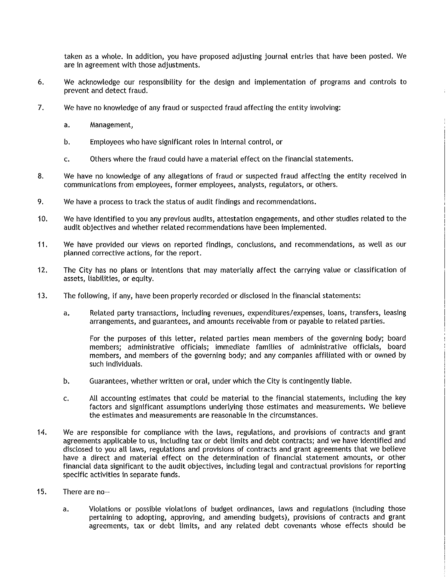taken as a whole. In addition, you have proposed adjusting journal entries that have been posted. We are in agreement with those adjustments.

- We acknowledge our responsibility for the design and implementation of programs and controls to 6. prevent and detect fraud.
- 7. We have no knowledge of any fraud or suspected fraud affecting the entity involving:
	- Management,  $a.$
	- Employees who have significant roles in internal control, or  $b.$
	- Others where the fraud could have a material effect on the financial statements. c.
- 8. We have no knowledge of any allegations of fraud or suspected fraud affecting the entity received in communications from employees, former employees, analysts, regulators, or others.
- 9. We have a process to track the status of audit findings and recommendations.
- $10.$ We have identified to you any previous audits, attestation engagements, and other studies related to the audit objectives and whether related recommendations have been implemented.
- 11. We have provided our views on reported findings, conclusions, and recommendations, as well as our planned corrective actions, for the report.
- $12.$ The City has no plans or intentions that may materially affect the carrying value or classification of assets, liabilities, or equity.
- $13.$ The following, if any, have been properly recorded or disclosed in the financial statements:
	- Related party transactions, including revenues, expenditures/expenses, loans, transfers, leasing a. arrangements, and guarantees, and amounts receivable from or payable to related parties.

For the purposes of this letter, related parties mean members of the governing body; board members: administrative officials: immediate families of administrative officials, board members, and members of the governing body; and any companies affiliated with or owned by such individuals.

- b. Guarantees, whether written or oral, under which the City is contingently liable.
- All accounting estimates that could be material to the financial statements, including the key c. factors and significant assumptions underlying those estimates and measurements. We believe the estimates and measurements are reasonable in the circumstances.
- 14. We are responsible for compliance with the laws, regulations, and provisions of contracts and grant agreements applicable to us, including tax or debt limits and debt contracts; and we have identified and disclosed to you all laws, regulations and provisions of contracts and grant agreements that we believe have a direct and material effect on the determination of financial statement amounts, or other financial data significant to the audit objectives, including legal and contractual provisions for reporting specific activities in separate funds.
- $15.$ There are no-
	- Violations or possible violations of budget ordinances, laws and regulations (including those  $a.$ pertaining to adopting, approving, and amending budgets), provisions of contracts and grant agreements, tax or debt limits, and any related debt covenants whose effects should be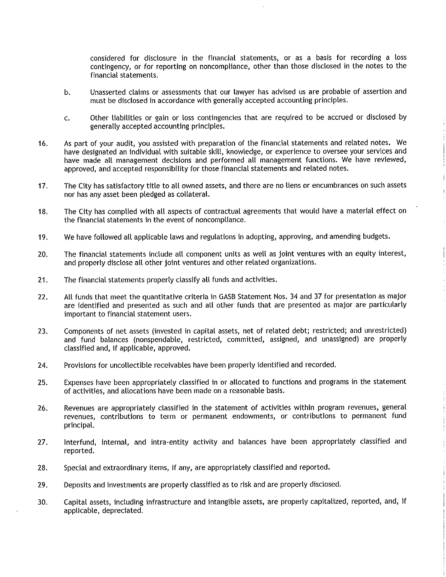considered for disclosure in the financial statements, or as a basis for recording a loss contingency, or for reporting on noncompliance, other than those disclosed in the notes to the financial statements.

- Unasserted claims or assessments that our lawyer has advised us are probable of assertion and b. must be disclosed in accordance with generally accepted accounting principles.
- Other liabilities or gain or loss contingencies that are required to be accrued or disclosed by c. generally accepted accounting principles.
- As part of your audit, you assisted with preparation of the financial statements and related notes. We  $16.$ have designated an individual with suitable skill, knowledge, or experience to oversee your services and have made all management decisions and performed all management functions. We have reviewed, approved, and accepted responsibility for those financial statements and related notes.
- The City has satisfactory title to all owned assets, and there are no liens or encumbrances on such assets  $17.$ nor has any asset been pledged as collateral.
- The City has complied with all aspects of contractual agreements that would have a material effect on 18. the financial statements in the event of noncompliance.
- We have followed all applicable laws and regulations in adopting, approving, and amending budgets. 19.
- The financial statements include all component units as well as joint ventures with an equity interest,  $20.$ and properly disclose all other joint ventures and other related organizations.
- $21.$ The financial statements properly classify all funds and activities.
- All funds that meet the quantitative criteria in GASB Statement Nos. 34 and 37 for presentation as major 22. are identified and presented as such and all other funds that are presented as major are particularly important to financial statement users.
- 23. Components of net assets (invested in capital assets, net of related debt; restricted; and unrestricted) and fund balances (nonspendable, restricted, committed, assigned, and unassigned) are properly classified and, if applicable, approved.
- 24. Provisions for uncollectible receivables have been properly identified and recorded.
- Expenses have been appropriately classified in or allocated to functions and programs in the statement 25. of activities, and allocations have been made on a reasonable basis.
- Revenues are appropriately classified in the statement of activities within program revenues, general 26. revenues, contributions to term or permanent endowments, or contributions to permanent fund principal.
- 27. Interfund, internal, and intra-entity activity and balances have been appropriately classified and reported.
- Special and extraordinary items, if any, are appropriately classified and reported. 28.
- 29. Deposits and investments are properly classified as to risk and are properly disclosed.
- Capital assets, including infrastructure and intangible assets, are properly capitalized, reported, and, if 30. applicable, depreciated.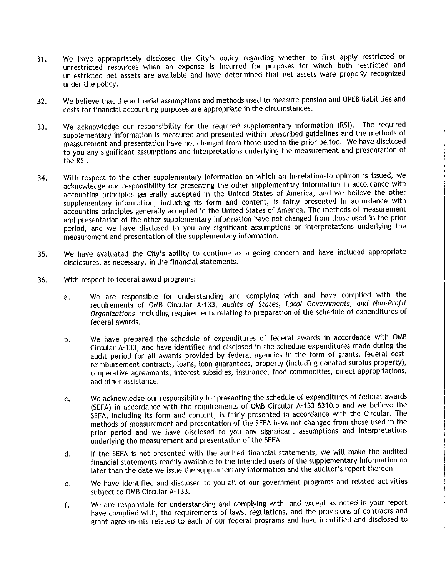- We have appropriately disclosed the City's policy regarding whether to first apply restricted or  $31.$ unrestricted resources when an expense is incurred for purposes for which both restricted and unrestricted net assets are available and have determined that net assets were properly recognized under the policy.
- We believe that the actuarial assumptions and methods used to measure pension and OPEB liabilities and 32. costs for financial accounting purposes are appropriate in the circumstances.
- We acknowledge our responsibility for the required supplementary information (RSI). The required 33. supplementary information is measured and presented within prescribed guidelines and the methods of measurement and presentation have not changed from those used in the prior period. We have disclosed to you any significant assumptions and interpretations underlying the measurement and presentation of the RSI.
- With respect to the other supplementary information on which an in-relation-to opinion is issued, we 34. acknowledge our responsibility for presenting the other supplementary information in accordance with accounting principles generally accepted in the United States of America, and we believe the other supplementary information, including its form and content, is fairly presented in accordance with accounting principles generally accepted in the United States of America. The methods of measurement and presentation of the other supplementary information have not changed from those used in the prior period, and we have disclosed to you any significant assumptions or interpretations underlying the measurement and presentation of the supplementary information.
- We have evaluated the City's ability to continue as a going concern and have included appropriate 35. disclosures, as necessary, in the financial statements.
- With respect to federal award programs: 36.
	- We are responsible for understanding and complying with and have complied with the a. requirements of OMB Circular A-133, Audits of States, Local Governments, and Non-Profit Organizations, including requirements relating to preparation of the schedule of expenditures of federal awards.
	- We have prepared the schedule of expenditures of federal awards in accordance with OMB b. Circular A-133, and have identified and disclosed in the schedule expenditures made during the audit period for all awards provided by federal agencies in the form of grants, federal costreimbursement contracts, loans, loan guarantees, property (including donated surplus property), cooperative agreements, interest subsidies, insurance, food commodities, direct appropriations, and other assistance.
	- We acknowledge our responsibility for presenting the schedule of expenditures of federal awards  $\mathbf{c}$ . (SEFA) in accordance with the requirements of OMB Circular A-133 \$310.b and we believe the SEFA, including its form and content, is fairly presented in accordance with the Circular. The methods of measurement and presentation of the SEFA have not changed from those used in the prior period and we have disclosed to you any significant assumptions and interpretations underlying the measurement and presentation of the SEFA.
	- If the SEFA is not presented with the audited financial statements, we will make the audited d. financial statements readily available to the intended users of the supplementary information no later than the date we issue the supplementary information and the auditor's report thereon.
	- We have identified and disclosed to you all of our government programs and related activities e. subject to OMB Circular A-133.
	- We are responsible for understanding and complying with, and except as noted in your report f. have complied with, the requirements of laws, regulations, and the provisions of contracts and grant agreements related to each of our federal programs and have identified and disclosed to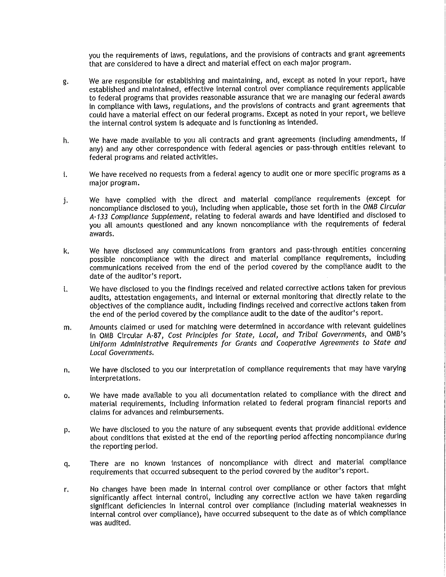you the requirements of laws, regulations, and the provisions of contracts and grant agreements that are considered to have a direct and material effect on each major program.

- We are responsible for establishing and maintaining, and, except as noted in your report, have g. established and maintained, effective internal control over compliance requirements applicable to federal programs that provides reasonable assurance that we are managing our federal awards in compliance with laws, regulations, and the provisions of contracts and grant agreements that could have a material effect on our federal programs. Except as noted in your report, we believe the internal control system is adequate and is functioning as intended.
- We have made available to you all contracts and grant agreements (including amendments, if h. any) and any other correspondence with federal agencies or pass-through entities relevant to federal programs and related activities.
- We have received no requests from a federal agency to audit one or more specific programs as a i. major program.
- We have complied with the direct and material compliance requirements (except for j. noncompliance disclosed to you), including when applicable, those set forth in the OMB Circular A-133 Compliance Supplement, relating to federal awards and have identified and disclosed to you all amounts questioned and any known noncompliance with the requirements of federal awards.
- We have disclosed any communications from grantors and pass-through entities concerning k. possible noncompliance with the direct and material compliance requirements, including communications received from the end of the period covered by the compliance audit to the date of the auditor's report.
- We have disclosed to you the findings received and related corrective actions taken for previous  $\mathbf{I}$ . audits, attestation engagements, and internal or external monitoring that directly relate to the objectives of the compliance audit, including findings received and corrective actions taken from the end of the period covered by the compliance audit to the date of the auditor's report.
- Amounts claimed or used for matching were determined in accordance with relevant guidelines m. in OMB Circular A-87, Cost Principles for State, Local, and Tribal Governments, and OMB's Uniform Administrative Requirements for Grants and Cooperative Agreements to State and Local Governments.
- We have disclosed to you our interpretation of compliance requirements that may have varying n. interpretations.
- We have made available to you all documentation related to compliance with the direct and o. material requirements, including information related to federal program financial reports and claims for advances and reimbursements.
- We have disclosed to you the nature of any subsequent events that provide additional evidence p. about conditions that existed at the end of the reporting period affecting noncompliance during the reporting period.
- There are no known instances of noncompliance with direct and material compliance q. requirements that occurred subsequent to the period covered by the auditor's report.
- No changes have been made in internal control over compliance or other factors that might r. significantly affect internal control, including any corrective action we have taken regarding significant deficiencies in internal control over compliance (including material weaknesses in internal control over compliance), have occurred subsequent to the date as of which compliance was audited.